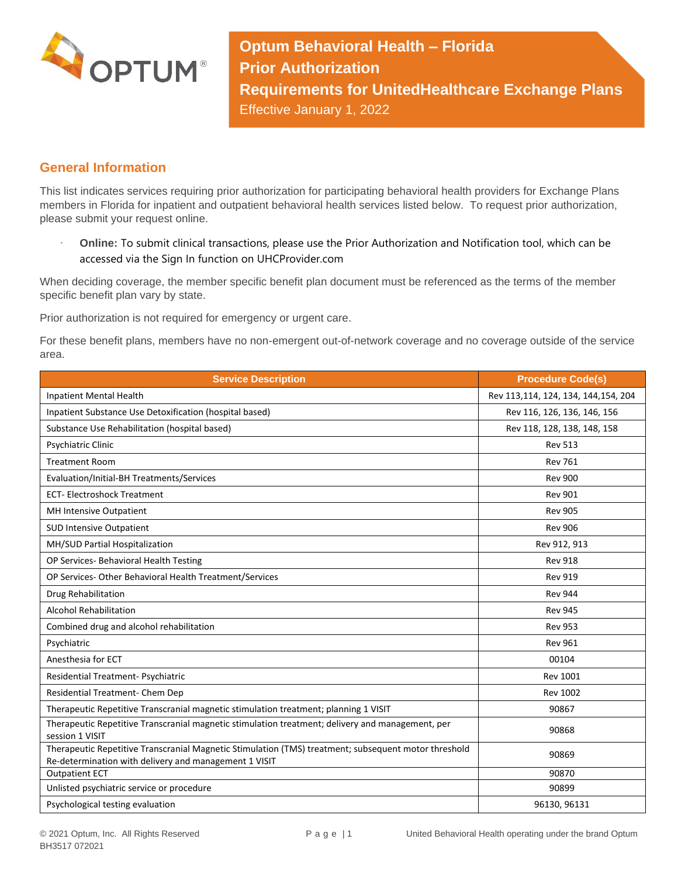

**Optum Behavioral Health – Florida Prior Authorization Requirements for UnitedHealthcare Exchange Plans** Effective January 1, 2022

## **General Information**

This list indicates services requiring prior authorization for participating behavioral health providers for Exchange Plans members in Florida for inpatient and outpatient behavioral health services listed below. To request prior authorization, please submit your request online.

 **Online:** To submit clinical transactions, please use the Prior Authorization and Notification tool, which can be accessed via the Sign In function on UHCProvider.com

When deciding coverage, the member specific benefit plan document must be referenced as the terms of the member specific benefit plan vary by state.

Prior authorization is not required for emergency or urgent care.

For these benefit plans, members have no non-emergent out-of-network coverage and no coverage outside of the service area.

| <b>Service Description</b>                                                                                                                                    | <b>Procedure Code(s)</b>            |
|---------------------------------------------------------------------------------------------------------------------------------------------------------------|-------------------------------------|
| Inpatient Mental Health                                                                                                                                       | Rev 113,114, 124, 134, 144,154, 204 |
| Inpatient Substance Use Detoxification (hospital based)                                                                                                       | Rev 116, 126, 136, 146, 156         |
| Substance Use Rehabilitation (hospital based)                                                                                                                 | Rev 118, 128, 138, 148, 158         |
| Psychiatric Clinic                                                                                                                                            | <b>Rev 513</b>                      |
| <b>Treatment Room</b>                                                                                                                                         | <b>Rev 761</b>                      |
| Evaluation/Initial-BH Treatments/Services                                                                                                                     | <b>Rev 900</b>                      |
| <b>ECT-Electroshock Treatment</b>                                                                                                                             | <b>Rev 901</b>                      |
| MH Intensive Outpatient                                                                                                                                       | <b>Rev 905</b>                      |
| <b>SUD Intensive Outpatient</b>                                                                                                                               | <b>Rev 906</b>                      |
| MH/SUD Partial Hospitalization                                                                                                                                | Rev 912, 913                        |
| OP Services- Behavioral Health Testing                                                                                                                        | <b>Rev 918</b>                      |
| OP Services- Other Behavioral Health Treatment/Services                                                                                                       | <b>Rev 919</b>                      |
| Drug Rehabilitation                                                                                                                                           | <b>Rev 944</b>                      |
| <b>Alcohol Rehabilitation</b>                                                                                                                                 | <b>Rev 945</b>                      |
| Combined drug and alcohol rehabilitation                                                                                                                      | <b>Rev 953</b>                      |
| Psychiatric                                                                                                                                                   | <b>Rev 961</b>                      |
| Anesthesia for ECT                                                                                                                                            | 00104                               |
| Residential Treatment- Psychiatric                                                                                                                            | <b>Rev 1001</b>                     |
| Residential Treatment- Chem Dep                                                                                                                               | <b>Rev 1002</b>                     |
| Therapeutic Repetitive Transcranial magnetic stimulation treatment; planning 1 VISIT                                                                          | 90867                               |
| Therapeutic Repetitive Transcranial magnetic stimulation treatment; delivery and management, per<br>session 1 VISIT                                           | 90868                               |
| Therapeutic Repetitive Transcranial Magnetic Stimulation (TMS) treatment; subsequent motor threshold<br>Re-determination with delivery and management 1 VISIT | 90869                               |
| <b>Outpatient ECT</b>                                                                                                                                         | 90870                               |
| Unlisted psychiatric service or procedure                                                                                                                     | 90899                               |
| Psychological testing evaluation                                                                                                                              | 96130, 96131                        |